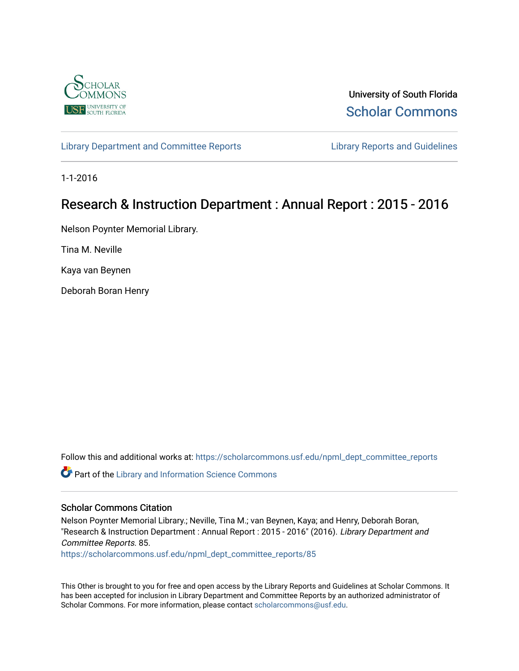

University of South Florida [Scholar Commons](https://scholarcommons.usf.edu/) 

[Library Department and Committee Reports](https://scholarcommons.usf.edu/npml_dept_committee_reports) **Library Reports and Guidelines** 

1-1-2016

# Research & Instruction Department : Annual Report : 2015 - 2016

Nelson Poynter Memorial Library.

Tina M. Neville

Kaya van Beynen

Deborah Boran Henry

Follow this and additional works at: [https://scholarcommons.usf.edu/npml\\_dept\\_committee\\_reports](https://scholarcommons.usf.edu/npml_dept_committee_reports?utm_source=scholarcommons.usf.edu%2Fnpml_dept_committee_reports%2F85&utm_medium=PDF&utm_campaign=PDFCoverPages)

Part of the [Library and Information Science Commons](http://network.bepress.com/hgg/discipline/1018?utm_source=scholarcommons.usf.edu%2Fnpml_dept_committee_reports%2F85&utm_medium=PDF&utm_campaign=PDFCoverPages) 

#### Scholar Commons Citation

Nelson Poynter Memorial Library.; Neville, Tina M.; van Beynen, Kaya; and Henry, Deborah Boran, "Research & Instruction Department : Annual Report : 2015 - 2016" (2016). Library Department and Committee Reports. 85.

[https://scholarcommons.usf.edu/npml\\_dept\\_committee\\_reports/85](https://scholarcommons.usf.edu/npml_dept_committee_reports/85?utm_source=scholarcommons.usf.edu%2Fnpml_dept_committee_reports%2F85&utm_medium=PDF&utm_campaign=PDFCoverPages) 

This Other is brought to you for free and open access by the Library Reports and Guidelines at Scholar Commons. It has been accepted for inclusion in Library Department and Committee Reports by an authorized administrator of Scholar Commons. For more information, please contact [scholarcommons@usf.edu](mailto:scholarcommons@usf.edu).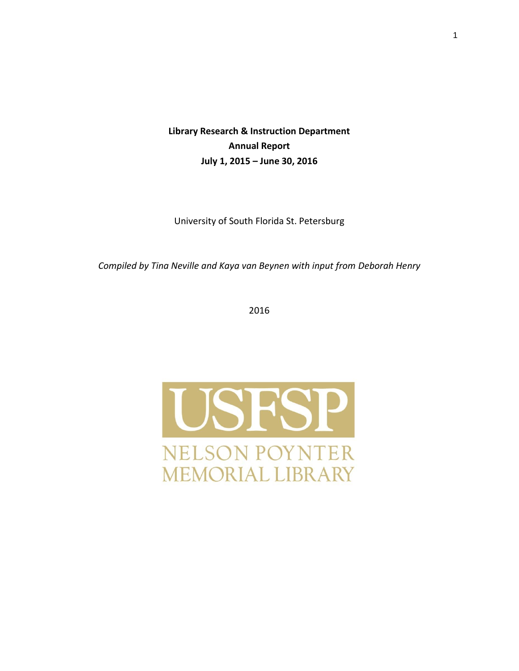**Library Research & Instruction Department Annual Report July 1, 2015 – June 30, 2016**

University of South Florida St. Petersburg

*Compiled by Tina Neville and Kaya van Beynen with input from Deborah Henry*

2016

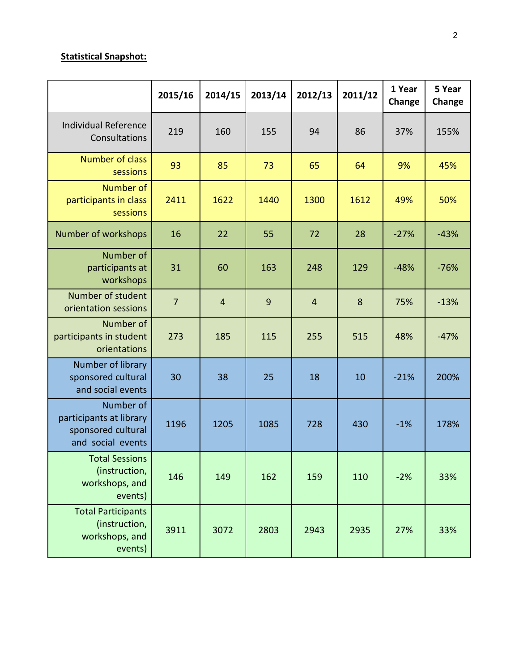#### **Statistical Snapshot:**

|                                                                                 | 2015/16        | 2014/15        | 2013/14 | 2012/13        | 2011/12 | 1 Year<br>Change | 5 Year<br>Change |
|---------------------------------------------------------------------------------|----------------|----------------|---------|----------------|---------|------------------|------------------|
| <b>Individual Reference</b><br>Consultations                                    | 219            | 160            | 155     | 94             | 86      | 37%              | 155%             |
| <b>Number of class</b><br>sessions                                              | 93             | 85             | 73      | 65             | 64      | 9%               | 45%              |
| Number of<br>participants in class<br>sessions                                  | 2411           | 1622           | 1440    | 1300           | 1612    | 49%              | 50%              |
| Number of workshops                                                             | 16             | 22             | 55      | 72             | 28      | $-27%$           | $-43%$           |
| Number of<br>participants at<br>workshops                                       | 31             | 60             | 163     | 248            | 129     | $-48%$           | $-76%$           |
| Number of student<br>orientation sessions                                       | $\overline{7}$ | $\overline{4}$ | 9       | $\overline{4}$ | 8       | 75%              | $-13%$           |
| Number of<br>participants in student<br>orientations                            | 273            | 185            | 115     | 255            | 515     | 48%              | $-47%$           |
| Number of library<br>sponsored cultural<br>and social events                    | 30             | 38             | 25      | 18             | 10      | $-21%$           | 200%             |
| Number of<br>participants at library<br>sponsored cultural<br>and social events | 1196           | 1205           | 1085    | 728            | 430     | $-1%$            | 178%             |
| <b>Total Sessions</b><br>(instruction,<br>workshops, and<br>events)             | 146            | 149            | 162     | 159            | 110     | $-2%$            | 33%              |
| <b>Total Participants</b><br>(instruction,<br>workshops, and<br>events)         | 3911           | 3072           | 2803    | 2943           | 2935    | 27%              | 33%              |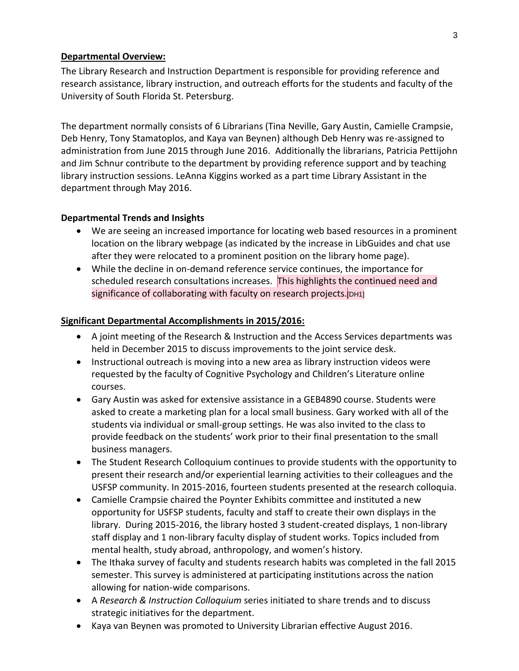#### **Departmental Overview:**

The Library Research and Instruction Department is responsible for providing reference and research assistance, library instruction, and outreach efforts for the students and faculty of the University of South Florida St. Petersburg.

The department normally consists of 6 Librarians (Tina Neville, Gary Austin, Camielle Crampsie, Deb Henry, Tony Stamatoplos, and Kaya van Beynen) although Deb Henry was re-assigned to administration from June 2015 through June 2016. Additionally the librarians, Patricia Pettijohn and Jim Schnur contribute to the department by providing reference support and by teaching library instruction sessions. LeAnna Kiggins worked as a part time Library Assistant in the department through May 2016.

#### **Departmental Trends and Insights**

- We are seeing an increased importance for locating web based resources in a prominent location on the library webpage (as indicated by the increase in LibGuides and chat use after they were relocated to a prominent position on the library home page).
- While the decline in on-demand reference service continues, the importance for scheduled research consultations increases. This highlights the continued need and significance of collaborating with faculty on research projects.<sup>[DH1]</sup>

#### **Significant Departmental Accomplishments in 2015/2016:**

- A joint meeting of the Research & Instruction and the Access Services departments was held in December 2015 to discuss improvements to the joint service desk.
- Instructional outreach is moving into a new area as library instruction videos were requested by the faculty of Cognitive Psychology and Children's Literature online courses.
- Gary Austin was asked for extensive assistance in a GEB4890 course. Students were asked to create a marketing plan for a local small business. Gary worked with all of the students via individual or small-group settings. He was also invited to the class to provide feedback on the students' work prior to their final presentation to the small business managers.
- The Student Research Colloquium continues to provide students with the opportunity to present their research and/or experiential learning activities to their colleagues and the USFSP community. In 2015-2016, fourteen students presented at the research colloquia.
- Camielle Crampsie chaired the Poynter Exhibits committee and instituted a new opportunity for USFSP students, faculty and staff to create their own displays in the library. During 2015-2016, the library hosted 3 student-created displays, 1 non-library staff display and 1 non-library faculty display of student works. Topics included from mental health, study abroad, anthropology, and women's history.
- The Ithaka survey of faculty and students research habits was completed in the fall 2015 semester. This survey is administered at participating institutions across the nation allowing for nation-wide comparisons.
- A *Research & Instruction Colloquium* series initiated to share trends and to discuss strategic initiatives for the department.
- Kaya van Beynen was promoted to University Librarian effective August 2016.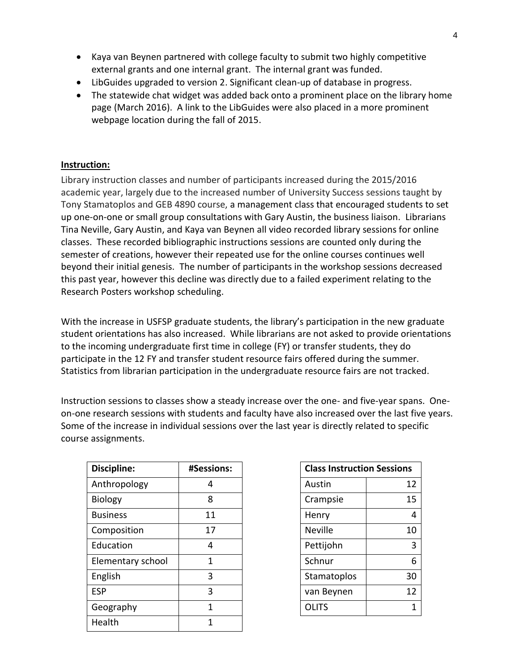- Kaya van Beynen partnered with college faculty to submit two highly competitive external grants and one internal grant. The internal grant was funded.
- LibGuides upgraded to version 2. Significant clean-up of database in progress.
- The statewide chat widget was added back onto a prominent place on the library home page (March 2016). A link to the LibGuides were also placed in a more prominent webpage location during the fall of 2015.

#### **Instruction:**

Library instruction classes and number of participants increased during the 2015/2016 academic year, largely due to the increased number of University Success sessions taught by Tony Stamatoplos and GEB 4890 course, a management class that encouraged students to set up one-on-one or small group consultations with Gary Austin, the business liaison. Librarians Tina Neville, Gary Austin, and Kaya van Beynen all video recorded library sessions for online classes. These recorded bibliographic instructions sessions are counted only during the semester of creations, however their repeated use for the online courses continues well beyond their initial genesis. The number of participants in the workshop sessions decreased this past year, however this decline was directly due to a failed experiment relating to the Research Posters workshop scheduling.

With the increase in USFSP graduate students, the library's participation in the new graduate student orientations has also increased. While librarians are not asked to provide orientations to the incoming undergraduate first time in college (FY) or transfer students, they do participate in the 12 FY and transfer student resource fairs offered during the summer. Statistics from librarian participation in the undergraduate resource fairs are not tracked.

Instruction sessions to classes show a steady increase over the one- and five-year spans. Oneon-one research sessions with students and faculty have also increased over the last five years. Some of the increase in individual sessions over the last year is directly related to specific course assignments.

| Discipline:       | #Sessions: |                | <b>Class Instruction Sessions</b> |  |  |
|-------------------|------------|----------------|-----------------------------------|--|--|
| Anthropology      | 4          | Austin         | 12                                |  |  |
| <b>Biology</b>    | 8          | Crampsie       | 15                                |  |  |
| <b>Business</b>   | 11         | Henry          | 4                                 |  |  |
| Composition       | 17         | <b>Neville</b> | 10                                |  |  |
| Education         | 4          | Pettijohn      | 3                                 |  |  |
| Elementary school | 1          | Schnur         | 6                                 |  |  |
| English           | 3          | Stamatoplos    | 30                                |  |  |
| <b>ESP</b>        | 3          | van Beynen     | 12                                |  |  |
| Geography         | 1          | <b>OLITS</b>   | $\mathbf{1}$                      |  |  |
| Health            | 1          |                |                                   |  |  |

| <b>Class Instruction Sessions</b> |    |  |  |
|-----------------------------------|----|--|--|
| Austin                            | 12 |  |  |
| Crampsie                          | 15 |  |  |
| Henry                             | 4  |  |  |
| <b>Neville</b>                    | 10 |  |  |
| Pettijohn                         | 3  |  |  |
| Schnur                            | 6  |  |  |
| Stamatoplos                       | 30 |  |  |
| van Beynen                        | 12 |  |  |
| OLITS                             | 1  |  |  |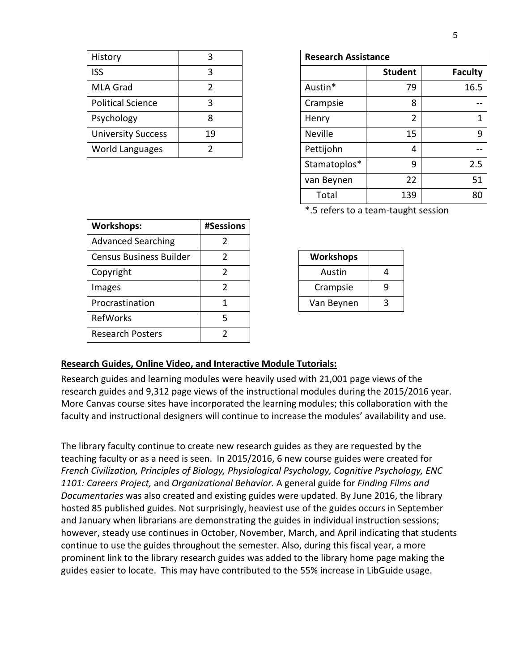| History                   | ੨  | <b>Research Assistance</b> |    |
|---------------------------|----|----------------------------|----|
| <b>ISS</b>                | 3  |                            | S۱ |
| <b>MLA Grad</b>           |    | Austin*                    |    |
| <b>Political Science</b>  | 3  | Crampsie                   |    |
| Psychology                | 8  | Henry                      |    |
| <b>University Success</b> | 19 | <b>Neville</b>             |    |
| <b>World Languages</b>    |    | Pettijohn                  |    |

| History                   | 3  | <b>Research Assistance</b> |                |                |
|---------------------------|----|----------------------------|----------------|----------------|
| <b>ISS</b>                | 3  |                            | <b>Student</b> | <b>Faculty</b> |
| MLA Grad                  | 2  | Austin*                    | 79             | 16.5           |
| <b>Political Science</b>  | 3  | Crampsie                   | 8              |                |
| Psychology                | 8  | Henry                      | 2              |                |
| <b>University Success</b> | 19 | <b>Neville</b>             | 15             | q              |
| <b>World Languages</b>    | 2  | Pettijohn                  | 4              |                |
|                           |    | Stamatoplos*               | 9              | 2.5            |
|                           |    | van Beynen                 | 22             | 51             |
|                           |    | Total                      | 139            | 80             |

\*.5 refers to a team-taught session

| <b>Workshops:</b>              | #Sessions |            |  |
|--------------------------------|-----------|------------|--|
| <b>Advanced Searching</b>      | 2         |            |  |
| <b>Census Business Builder</b> | 2         | Workshops  |  |
| Copyright                      | 2         | Austin     |  |
| Images                         | 2         | Crampsie   |  |
| Procrastination                | 1         | Van Beynen |  |
| RefWorks                       | 5         |            |  |
| <b>Research Posters</b>        | 2         |            |  |

| Workshops  |   |
|------------|---|
| Austin     |   |
| Crampsie   | a |
| Van Beynen | ว |

#### **Research Guides, Online Video, and Interactive Module Tutorials:**

Research guides and learning modules were heavily used with 21,001 page views of the research guides and 9,312 page views of the instructional modules during the 2015/2016 year. More Canvas course sites have incorporated the learning modules; this collaboration with the faculty and instructional designers will continue to increase the modules' availability and use.

The library faculty continue to create new research guides as they are requested by the teaching faculty or as a need is seen. In 2015/2016, 6 new course guides were created for *French Civilization, Principles of Biology, Physiological Psychology, Cognitive Psychology, ENC 1101: Careers Project,* and *Organizational Behavior.* A general guide for *Finding Films and Documentaries* was also created and existing guides were updated. By June 2016, the library hosted 85 published guides. Not surprisingly, heaviest use of the guides occurs in September and January when librarians are demonstrating the guides in individual instruction sessions; however, steady use continues in October, November, March, and April indicating that students continue to use the guides throughout the semester. Also, during this fiscal year, a more prominent link to the library research guides was added to the library home page making the guides easier to locate. This may have contributed to the 55% increase in LibGuide usage.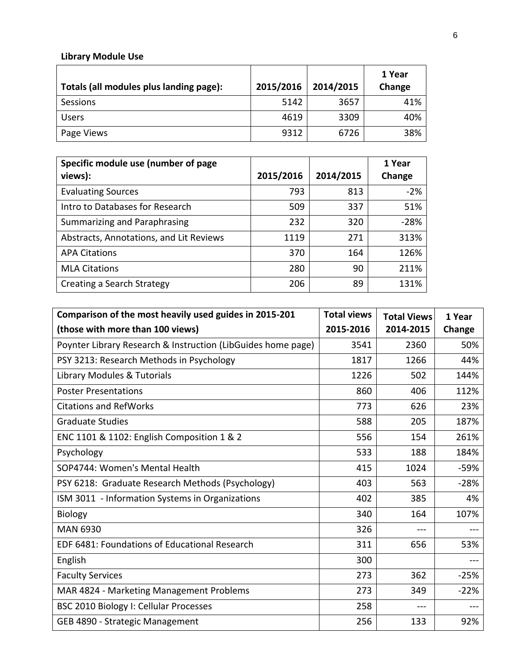# **Library Module Use**

| Totals (all modules plus landing page): | 2015/2016 | 2014/2015 | 1 Year<br>Change |
|-----------------------------------------|-----------|-----------|------------------|
| Sessions                                | 5142      | 3657      | 41%              |
| <b>Users</b>                            | 4619      | 3309      | 40%              |
| Page Views                              | 9312      | 6726      | 38%              |

| Specific module use (number of page     |           |           | 1 Year |
|-----------------------------------------|-----------|-----------|--------|
| views):                                 | 2015/2016 | 2014/2015 | Change |
| <b>Evaluating Sources</b>               | 793       | 813       | $-2%$  |
| Intro to Databases for Research         | 509       | 337       | 51%    |
| Summarizing and Paraphrasing            | 232       | 320       | $-28%$ |
| Abstracts, Annotations, and Lit Reviews | 1119      | 271       | 313%   |
| <b>APA Citations</b>                    | 370       | 164       | 126%   |
| <b>MLA Citations</b>                    | 280       | 90        | 211%   |
| Creating a Search Strategy              | 206       | 89        | 131%   |

| Comparison of the most heavily used guides in 2015-201       | <b>Total views</b> | <b>Total Views</b> | 1 Year |
|--------------------------------------------------------------|--------------------|--------------------|--------|
| (those with more than 100 views)                             | 2015-2016          | 2014-2015          | Change |
| Poynter Library Research & Instruction (LibGuides home page) | 3541               | 2360               | 50%    |
| PSY 3213: Research Methods in Psychology                     | 1817               | 1266               | 44%    |
| Library Modules & Tutorials                                  | 1226               | 502                | 144%   |
| <b>Poster Presentations</b>                                  | 860                | 406                | 112%   |
| <b>Citations and RefWorks</b>                                | 773                | 626                | 23%    |
| <b>Graduate Studies</b>                                      | 588                | 205                | 187%   |
| ENC 1101 & 1102: English Composition 1 & 2                   | 556                | 154                | 261%   |
| Psychology                                                   | 533                | 188                | 184%   |
| SOP4744: Women's Mental Health                               | 415                | 1024               | $-59%$ |
| PSY 6218: Graduate Research Methods (Psychology)             | 403                | 563                | $-28%$ |
| ISM 3011 - Information Systems in Organizations              | 402                | 385                | 4%     |
| <b>Biology</b>                                               | 340                | 164                | 107%   |
| <b>MAN 6930</b>                                              | 326                | ---                |        |
| EDF 6481: Foundations of Educational Research                | 311                | 656                | 53%    |
| English                                                      | 300                |                    | $---$  |
| <b>Faculty Services</b>                                      | 273                | 362                | $-25%$ |
| MAR 4824 - Marketing Management Problems                     | 273                | 349                | $-22%$ |
| BSC 2010 Biology I: Cellular Processes                       | 258                | ---                |        |
| GEB 4890 - Strategic Management                              | 256                | 133                | 92%    |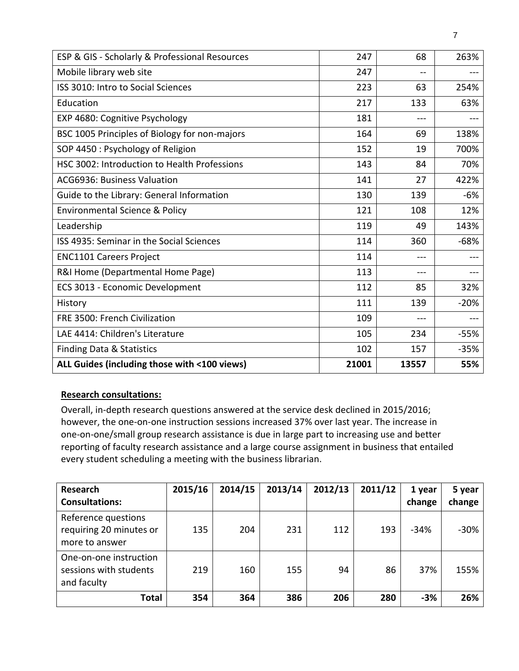| ESP & GIS - Scholarly & Professional Resources | 247   | 68    | 263%   |
|------------------------------------------------|-------|-------|--------|
| Mobile library web site                        | 247   | --    |        |
| ISS 3010: Intro to Social Sciences             | 223   | 63    | 254%   |
| Education                                      | 217   | 133   | 63%    |
| EXP 4680: Cognitive Psychology                 | 181   | $---$ | ---    |
| BSC 1005 Principles of Biology for non-majors  | 164   | 69    | 138%   |
| SOP 4450 : Psychology of Religion              | 152   | 19    | 700%   |
| HSC 3002: Introduction to Health Professions   | 143   | 84    | 70%    |
| ACG6936: Business Valuation                    | 141   | 27    | 422%   |
| Guide to the Library: General Information      | 130   | 139   | $-6%$  |
| Environmental Science & Policy                 | 121   | 108   | 12%    |
| Leadership                                     | 119   | 49    | 143%   |
| ISS 4935: Seminar in the Social Sciences       | 114   | 360   | $-68%$ |
| <b>ENC1101 Careers Project</b>                 | 114   | $---$ | ---    |
| R&I Home (Departmental Home Page)              | 113   | ---   |        |
| ECS 3013 - Economic Development                | 112   | 85    | 32%    |
| History                                        | 111   | 139   | $-20%$ |
| FRE 3500: French Civilization                  | 109   | $---$ | ---    |
| LAE 4414: Children's Literature                | 105   | 234   | $-55%$ |
| <b>Finding Data &amp; Statistics</b>           | 102   | 157   | $-35%$ |
| ALL Guides (including those with <100 views)   | 21001 | 13557 | 55%    |

### **Research consultations:**

Overall, in-depth research questions answered at the service desk declined in 2015/2016; however, the one-on-one instruction sessions increased 37% over last year. The increase in one-on-one/small group research assistance is due in large part to increasing use and better reporting of faculty research assistance and a large course assignment in business that entailed every student scheduling a meeting with the business librarian.

| <b>Research</b><br><b>Consultations:</b>                         | 2015/16 | 2014/15 | 2013/14 | 2012/13 | 2011/12 | 1 year<br>change | 5 year<br>change |
|------------------------------------------------------------------|---------|---------|---------|---------|---------|------------------|------------------|
| Reference questions<br>requiring 20 minutes or<br>more to answer | 135     | 204     | 231     | 112     | 193     | $-34%$           | $-30%$           |
| One-on-one instruction<br>sessions with students<br>and faculty  | 219     | 160     | 155     | 94      | 86      | 37%              | 155%             |
| Total                                                            | 354     | 364     | 386     | 206     | 280     | $-3%$            | 26%              |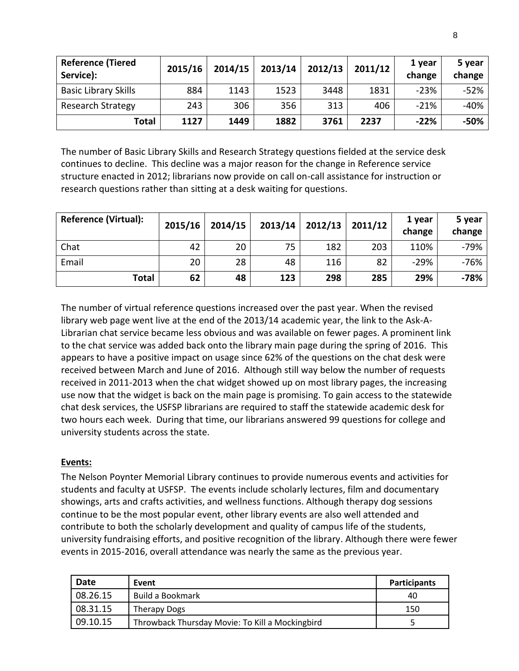| <b>Reference (Tiered</b><br>Service): | 2015/16 | 2014/15 | 2013/14 | 2012/13 | 2011/12 | 1 year<br>change | 5 year<br>change |
|---------------------------------------|---------|---------|---------|---------|---------|------------------|------------------|
| <b>Basic Library Skills</b>           | 884     | 1143    | 1523    | 3448    | 1831    | $-23%$           | $-52%$           |
| <b>Research Strategy</b>              | 243     | 306     | 356     | 313     | 406     | $-21%$           | $-40%$           |
| Total                                 | 1127    | 1449    | 1882    | 3761    | 2237    | $-22%$           | $-50%$           |

The number of Basic Library Skills and Research Strategy questions fielded at the service desk continues to decline. This decline was a major reason for the change in Reference service structure enacted in 2012; librarians now provide on call on-call assistance for instruction or research questions rather than sitting at a desk waiting for questions.

| <b>Reference (Virtual):</b> | 2015/16 | 2014/15 | 2013/14 | 2012/13 | 2011/12 | 1 year<br>change | 5 year<br>change |
|-----------------------------|---------|---------|---------|---------|---------|------------------|------------------|
| Chat                        | 42      | 20      | 75      | 182     | 203     | 110%             | $-79%$           |
| Email                       | 20      | 28      | 48      | 116     | 82      | $-29%$           | $-76%$           |
| Total                       | 62      | 48      | 123     | 298     | 285     | 29%              | $-78%$           |

The number of virtual reference questions increased over the past year. When the revised library web page went live at the end of the 2013/14 academic year, the link to the Ask-A-Librarian chat service became less obvious and was available on fewer pages. A prominent link to the chat service was added back onto the library main page during the spring of 2016. This appears to have a positive impact on usage since 62% of the questions on the chat desk were received between March and June of 2016. Although still way below the number of requests received in 2011-2013 when the chat widget showed up on most library pages, the increasing use now that the widget is back on the main page is promising. To gain access to the statewide chat desk services, the USFSP librarians are required to staff the statewide academic desk for two hours each week. During that time, our librarians answered 99 questions for college and university students across the state.

#### **Events:**

The Nelson Poynter Memorial Library continues to provide numerous events and activities for students and faculty at USFSP. The events include scholarly lectures, film and documentary showings, arts and crafts activities, and wellness functions. Although therapy dog sessions continue to be the most popular event, other library events are also well attended and contribute to both the scholarly development and quality of campus life of the students, university fundraising efforts, and positive recognition of the library. Although there were fewer events in 2015-2016, overall attendance was nearly the same as the previous year.

| Date     | Event                                           | <b>Participants</b> |
|----------|-------------------------------------------------|---------------------|
| 08.26.15 | Build a Bookmark                                | 40                  |
| 08.31.15 | Therapy Dogs                                    | 150                 |
| 09.10.15 | Throwback Thursday Movie: To Kill a Mockingbird |                     |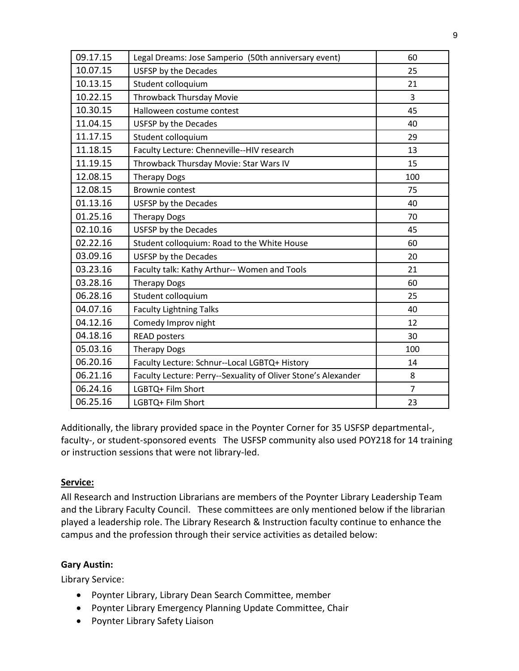| 09.17.15 | Legal Dreams: Jose Samperio (50th anniversary event)          | 60             |
|----------|---------------------------------------------------------------|----------------|
| 10.07.15 | <b>USFSP by the Decades</b>                                   | 25             |
| 10.13.15 | Student colloquium                                            | 21             |
| 10.22.15 | <b>Throwback Thursday Movie</b>                               | 3              |
| 10.30.15 | Halloween costume contest                                     | 45             |
| 11.04.15 | USFSP by the Decades                                          | 40             |
| 11.17.15 | Student colloquium                                            | 29             |
| 11.18.15 | Faculty Lecture: Chenneville--HIV research                    | 13             |
| 11.19.15 | Throwback Thursday Movie: Star Wars IV                        | 15             |
| 12.08.15 | <b>Therapy Dogs</b>                                           | 100            |
| 12.08.15 | <b>Brownie contest</b>                                        | 75             |
| 01.13.16 | <b>USFSP by the Decades</b>                                   | 40             |
| 01.25.16 | <b>Therapy Dogs</b>                                           | 70             |
| 02.10.16 | USFSP by the Decades                                          | 45             |
| 02.22.16 | Student colloquium: Road to the White House                   | 60             |
| 03.09.16 | USFSP by the Decades                                          | 20             |
| 03.23.16 | Faculty talk: Kathy Arthur-- Women and Tools                  | 21             |
| 03.28.16 | <b>Therapy Dogs</b>                                           | 60             |
| 06.28.16 | Student colloquium                                            | 25             |
| 04.07.16 | <b>Faculty Lightning Talks</b>                                | 40             |
| 04.12.16 | Comedy Improv night                                           | 12             |
| 04.18.16 | <b>READ posters</b>                                           | 30             |
| 05.03.16 | <b>Therapy Dogs</b>                                           | 100            |
| 06.20.16 | Faculty Lecture: Schnur--Local LGBTQ+ History                 | 14             |
| 06.21.16 | Faculty Lecture: Perry--Sexuality of Oliver Stone's Alexander | 8              |
| 06.24.16 | LGBTQ+ Film Short                                             | $\overline{7}$ |
| 06.25.16 | LGBTQ+ Film Short                                             | 23             |

Additionally, the library provided space in the Poynter Corner for 35 USFSP departmental-, faculty-, or student-sponsored events The USFSP community also used POY218 for 14 training or instruction sessions that were not library-led.

### **Service:**

All Research and Instruction Librarians are members of the Poynter Library Leadership Team and the Library Faculty Council. These committees are only mentioned below if the librarian played a leadership role. The Library Research & Instruction faculty continue to enhance the campus and the profession through their service activities as detailed below:

### **Gary Austin:**

Library Service:

- Poynter Library, Library Dean Search Committee, member
- Poynter Library Emergency Planning Update Committee, Chair
- Poynter Library Safety Liaison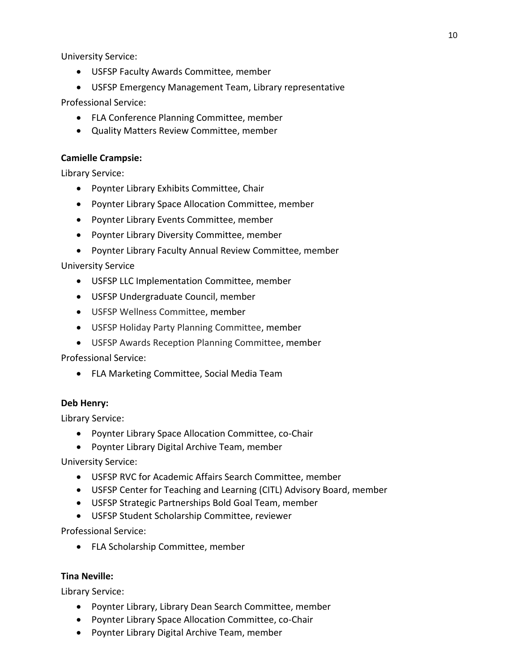University Service:

USFSP Faculty Awards Committee, member

 USFSP Emergency Management Team, Library representative Professional Service:

- FLA Conference Planning Committee, member
- Quality Matters Review Committee, member

#### **Camielle Crampsie:**

Library Service:

- Poynter Library Exhibits Committee, Chair
- Poynter Library Space Allocation Committee, member
- Poynter Library Events Committee, member
- Poynter Library Diversity Committee, member
- Poynter Library Faculty Annual Review Committee, member

University Service

- USFSP LLC Implementation Committee, member
- USFSP Undergraduate Council, member
- USFSP Wellness Committee, member
- USFSP Holiday Party Planning Committee, member
- USFSP Awards Reception Planning Committee, member

Professional Service:

FLA Marketing Committee, Social Media Team

#### **Deb Henry:**

Library Service:

- Poynter Library Space Allocation Committee, co-Chair
- Poynter Library Digital Archive Team, member

University Service:

- USFSP RVC for Academic Affairs Search Committee, member
- USFSP Center for Teaching and Learning (CITL) Advisory Board, member
- USFSP Strategic Partnerships Bold Goal Team, member
- USFSP Student Scholarship Committee, reviewer

Professional Service:

• FLA Scholarship Committee, member

#### **Tina Neville:**

Library Service:

- Poynter Library, Library Dean Search Committee, member
- Poynter Library Space Allocation Committee, co-Chair
- Poynter Library Digital Archive Team, member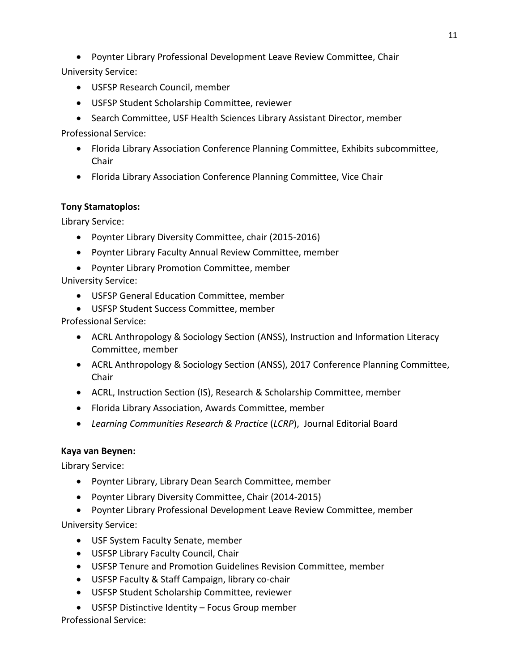Poynter Library Professional Development Leave Review Committee, Chair

University Service:

- USFSP Research Council, member
- USFSP Student Scholarship Committee, reviewer
- Search Committee, USF Health Sciences Library Assistant Director, member

Professional Service:

- Florida Library Association Conference Planning Committee, Exhibits subcommittee, Chair
- Florida Library Association Conference Planning Committee, Vice Chair

### **Tony Stamatoplos:**

Library Service:

- Poynter Library Diversity Committee, chair (2015-2016)
- Poynter Library Faculty Annual Review Committee, member
- Poynter Library Promotion Committee, member

University Service:

- USFSP General Education Committee, member
- USFSP Student Success Committee, member

Professional Service:

- ACRL Anthropology & Sociology Section (ANSS), Instruction and Information Literacy Committee, member
- ACRL Anthropology & Sociology Section (ANSS), 2017 Conference Planning Committee, Chair
- ACRL, Instruction Section (IS), Research & Scholarship Committee, member
- Florida Library Association, Awards Committee, member
- *Learning Communities Research & Practice* (*LCRP*), Journal Editorial Board

### **Kaya van Beynen:**

Library Service:

- Poynter Library, Library Dean Search Committee, member
- Poynter Library Diversity Committee, Chair (2014-2015)
- Poynter Library Professional Development Leave Review Committee, member

University Service:

- USF System Faculty Senate, member
- USFSP Library Faculty Council, Chair
- USFSP Tenure and Promotion Guidelines Revision Committee, member
- USFSP Faculty & Staff Campaign, library co-chair
- USFSP Student Scholarship Committee, reviewer
- USFSP Distinctive Identity Focus Group member

Professional Service: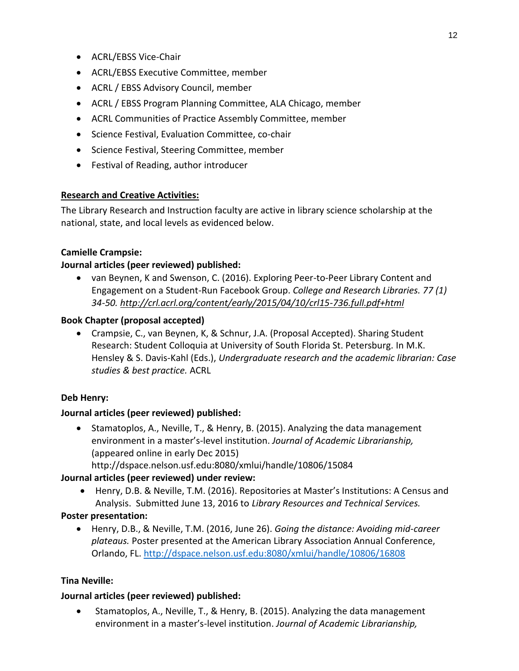- ACRL/EBSS Vice-Chair
- ACRL/EBSS Executive Committee, member
- ACRL / EBSS Advisory Council, member
- ACRL / EBSS Program Planning Committee, ALA Chicago, member
- ACRL Communities of Practice Assembly Committee, member
- **•** Science Festival, Evaluation Committee, co-chair
- Science Festival, Steering Committee, member
- Festival of Reading, author introducer

### **Research and Creative Activities:**

The Library Research and Instruction faculty are active in library science scholarship at the national, state, and local levels as evidenced below.

#### **Camielle Crampsie:**

#### **Journal articles (peer reviewed) published:**

 van Beynen, K and Swenson, C. (2016). Exploring Peer-to-Peer Library Content and Engagement on a Student-Run Facebook Group. *College and Research Libraries. 77 (1) 34-50[. http://crl.acrl.org/content/early/2015/04/10/crl15-736.full.pdf+html](http://crl.acrl.org/content/early/2015/04/10/crl15-736.full.pdf+html)*

#### **Book Chapter (proposal accepted)**

 Crampsie, C., van Beynen, K, & Schnur, J.A. (Proposal Accepted). Sharing Student Research: Student Colloquia at University of South Florida St. Petersburg*.* In M.K. Hensley & S. Davis-Kahl (Eds.), *Undergraduate research and the academic librarian: Case studies & best practice.* ACRL

### **Deb Henry:**

#### **Journal articles (peer reviewed) published:**

• Stamatoplos, A., Neville, T., & Henry, B. (2015). Analyzing the data management environment in a master's-level institution. *Journal of Academic Librarianship,* (appeared online in early Dec 2015)

http://dspace.nelson.usf.edu:8080/xmlui/handle/10806/15084

### **Journal articles (peer reviewed) under review:**

 Henry, D.B. & Neville, T.M. (2016). Repositories at Master's Institutions: A Census and Analysis. Submitted June 13, 2016 to *Library Resources and Technical Services.*

#### **Poster presentation:**

 Henry, D.B., & Neville, T.M. (2016, June 26). *Going the distance: Avoiding mid-career plateaus.* Poster presented at the American Library Association Annual Conference, Orlando, FL. <http://dspace.nelson.usf.edu:8080/xmlui/handle/10806/16808>

### **Tina Neville:**

### **Journal articles (peer reviewed) published:**

 Stamatoplos, A., Neville, T., & Henry, B. (2015). Analyzing the data management environment in a master's-level institution. *Journal of Academic Librarianship,*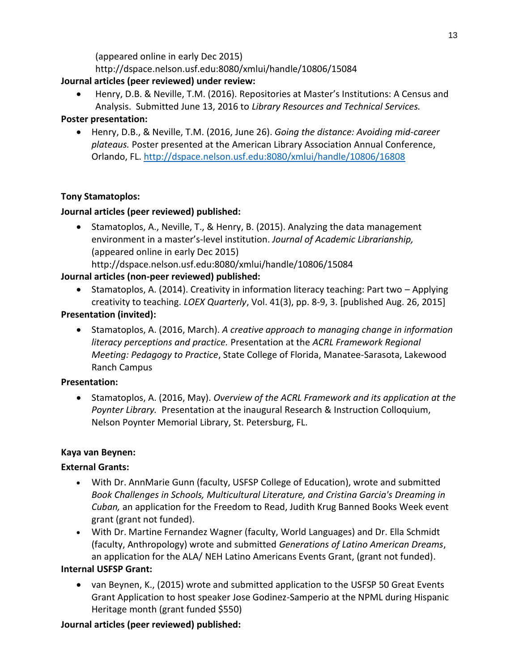(appeared online in early Dec 2015)

http://dspace.nelson.usf.edu:8080/xmlui/handle/10806/15084

# **Journal articles (peer reviewed) under review:**

 Henry, D.B. & Neville, T.M. (2016). Repositories at Master's Institutions: A Census and Analysis. Submitted June 13, 2016 to *Library Resources and Technical Services.*

# **Poster presentation:**

 Henry, D.B., & Neville, T.M. (2016, June 26). *Going the distance: Avoiding mid-career plateaus.* Poster presented at the American Library Association Annual Conference, Orlando, FL. <http://dspace.nelson.usf.edu:8080/xmlui/handle/10806/16808>

# **Tony Stamatoplos:**

# **Journal articles (peer reviewed) published:**

• Stamatoplos, A., Neville, T., & Henry, B. (2015). Analyzing the data management environment in a master's-level institution. *Journal of Academic Librarianship,* (appeared online in early Dec 2015) http://dspace.nelson.usf.edu:8080/xmlui/handle/10806/15084

# **Journal articles (non-peer reviewed) published:**

• Stamatoplos, A. (2014). Creativity in information literacy teaching: Part two – Applying creativity to teaching. *LOEX Quarterly*, Vol. 41(3), pp. 8-9, 3. [published Aug. 26, 2015]

# **Presentation (invited):**

 Stamatoplos, A. (2016, March). *A creative approach to managing change in information literacy perceptions and practice.* Presentation at the *ACRL Framework Regional Meeting: Pedagogy to Practice*, State College of Florida, Manatee-Sarasota, Lakewood Ranch Campus

### **Presentation:**

 Stamatoplos, A. (2016, May). *Overview of the ACRL Framework and its application at the Poynter Library.* Presentation at the inaugural Research & Instruction Colloquium, Nelson Poynter Memorial Library, St. Petersburg, FL.

### **Kaya van Beynen:**

### **External Grants:**

- With Dr. AnnMarie Gunn (faculty, USFSP College of Education), wrote and submitted *Book Challenges in Schools, Multicultural Literature, and Cristina Garcia's Dreaming in Cuban,* an application for the Freedom to Read, Judith Krug Banned Books Week event grant (grant not funded).
- With Dr. Martine Fernandez Wagner (faculty, World Languages) and Dr. Ella Schmidt (faculty, Anthropology) wrote and submitted *Generations of Latino American Dreams*, an application for the ALA/ NEH Latino Americans Events Grant, (grant not funded).

### **Internal USFSP Grant:**

 van Beynen, K., (2015) wrote and submitted application to the USFSP 50 Great Events Grant Application to host speaker Jose Godinez-Samperio at the NPML during Hispanic Heritage month (grant funded \$550)

# **Journal articles (peer reviewed) published:**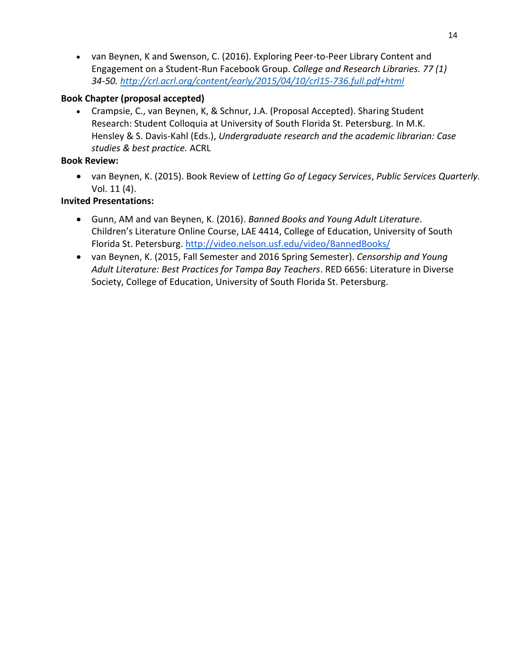van Beynen, K and Swenson, C. (2016). Exploring Peer-to-Peer Library Content and Engagement on a Student-Run Facebook Group. *College and Research Libraries. 77 (1) 34-50[. http://crl.acrl.org/content/early/2015/04/10/crl15-736.full.pdf+html](http://crl.acrl.org/content/early/2015/04/10/crl15-736.full.pdf+html)*

#### **Book Chapter (proposal accepted)**

 Crampsie, C., van Beynen, K, & Schnur, J.A. (Proposal Accepted). Sharing Student Research: Student Colloquia at University of South Florida St. Petersburg*.* In M.K. Hensley & S. Davis-Kahl (Eds.), *Undergraduate research and the academic librarian: Case studies & best practice.* ACRL

#### **Book Review:**

 van Beynen, K. (2015). Book Review of *Letting Go of Legacy Services*, *Public Services Quarterly.*  Vol. 11 (4).

#### **Invited Presentations:**

- Gunn, AM and van Beynen, K. (2016). *Banned Books and Young Adult Literature*. Children's Literature Online Course, LAE 4414, College of Education, University of South Florida St. Petersburg.<http://video.nelson.usf.edu/video/BannedBooks/>
- van Beynen, K. (2015, Fall Semester and 2016 Spring Semester). *Censorship and Young Adult Literature: Best Practices for Tampa Bay Teachers*. RED 6656: Literature in Diverse Society, College of Education, University of South Florida St. Petersburg.